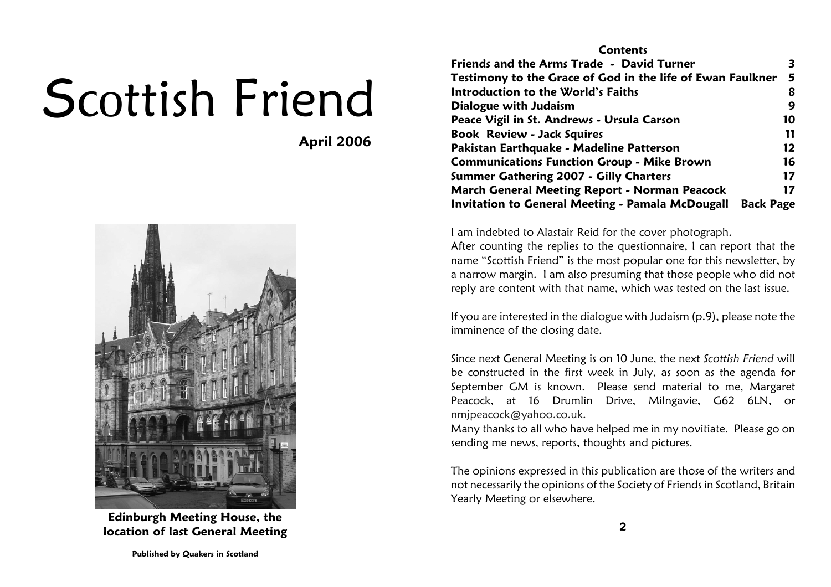# Scottish Friend

April 2006



Edinburgh Meeting House, thelocation of last General Meeting

#### **Contents** Friends and the Arms Trade - David Turner 3 Testimony to the Grace of God in the life of Ewan Faulkner <sup>5</sup>8 Introduction to the World's Faiths <sup>8</sup> $\boldsymbol{9}$ Dialogue with Judaism9<br>استان المسائل المسائل المسائل المسائل<br>10 - المسائل المسائل المسائل المسائل المسائل Peace Vigil in St. Andrews - Ursula Carson <sup>10</sup>11 Book Review - Jack Squiress and  $\overline{11}$  $12<sup>2</sup>$ Pakistan Earthquake - Madeline Patterson 16 Communications Function Group - Mike Brown <sup>16</sup> $17$ Summer Gathering 2007 - Gilly Charters  $17$ March General Meeting Report - Norman Peacock Invitation to General Meeting - Pamala McDougall Back Page

I am indebted to Alastair Reid for the cover photograph.

After counting the replies to the questionnaire, I can report that the name "Scottish Friend" is the most popular one for this newsletter, by a narrow margin. I am also presuming that those people who did notreply are content with that name, which was tested on the last issue.

If you are interested in the dialogue with Judaism (p.9), please note theimminence of the closing date.

Since next General Meeting is on 10 June, the next Scottish Friend will be constructed in the first week in July, as soon as the agenda for September GM is known. Please send material to me, Margaret Peacock, at 16 Drumlin Drive, Milngavie, G62 6LN, ornmjpeacock@yahoo.co.uk.

Many thanks to all who have helped me in my novitiate. Please go onsending me news, reports, thoughts and pictures.

The opinions expressed in this publication are those of the writers and not necessarily the opinions of the Society of Friends in Scotland, BritainYearly Meeting or elsewhere.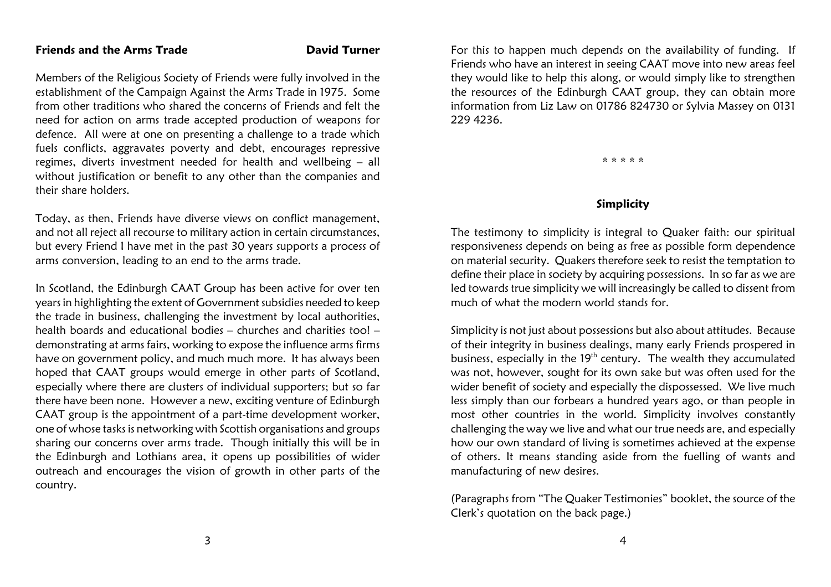#### Friends and the Arms Trade David Turner

Members of the Religious Society of Friends were fully involved in the establishment of the Campaign Against the Arms Trade in 1975. Some from other traditions who shared the concerns of Friends and felt the need for action on arms trade accepted production of weapons for defence. All were at one on presenting a challenge to a trade which fuels conflicts, aggravates poverty and debt, encourages repressive regimes, diverts investment needed for health and wellbeing – allwithout justification or benefit to any other than the companies andtheir share holders.

Today, as then, Friends have diverse views on conflict management,and not all reject all recourse to military action in certain circumstances, but every Friend I have met in the past 30 years supports a process ofarms conversion, leading to an end to the arms trade.

In Scotland, the Edinburgh CAAT Group has been active for over ten years in highlighting the extent of Government subsidies needed to keep the trade in business, challenging the investment by local authorities, health boards and educational bodies – churches and charities too! – demonstrating at arms fairs, working to expose the influence arms firms have on government policy, and much much more. It has always been hoped that CAAT groups would emerge in other parts of Scotland,especially where there are clusters of individual supporters; but so far there have been none. However a new, exciting venture of Edinburgh CAAT group is the appointment of a part-time development worker,one of whose tasks is networking with Scottish organisations and groups sharing our concerns over arms trade. Though initially this will be in the Edinburgh and Lothians area, it opens up possibilities of wider outreach and encourages the vision of growth in other parts of thecountry.

For this to happen much depends on the availability of funding. If Friends who have an interest in seeing CAAT move into new areas feelthey would like to help this along, or would simply like to strengthen the resources of the Edinburgh CAAT group, they can obtain more information from Liz Law on 01786 824730 or Sylvia Massey on 0131229 4236.

\* \* \* \* \*

#### Simplicity

The testimony to simplicity is integral to Quaker faith: our spiritual responsiveness depends on being as free as possible form dependence on material security. Quakers therefore seek to resist the temptation to define their place in society by acquiring possessions. In so far as we are led towards true simplicity we will increasingly be called to dissent frommuch of what the modern world stands for.

Simplicity is not just about possessions but also about attitudes. Because of their integrity in business dealings, many early Friends prospered inbusiness, especially in the 19 $^{\rm th}$  century. The wealth they accumulated was not, however, sought for its own sake but was often used for the wider benefit of society and especially the dispossessed. We live much less simply than our forbears a hundred years ago, or than people in most other countries in the world. Simplicity involves constantly challenging the way we live and what our true needs are, and especially how our own standard of living is sometimes achieved at the expense of others. It means standing aside from the fuelling of wants andmanufacturing of new desires.

(Paragraphs from "The Quaker Testimonies" booklet, the source of theClerk's quotation on the back page.)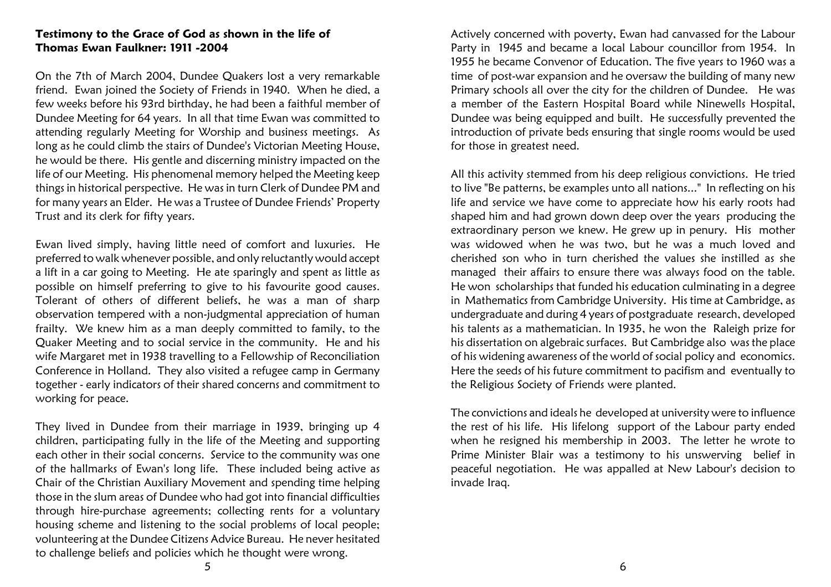#### Testimony to the Grace of God as shown in the life of Thomas Ewan Faulkner: 1911 -2004

On the 7th of March 2004, Dundee Quakers lost a very remarkable friend. Ewan joined the Society of Friends in 1940. When he died, a few weeks before his 93rd birthday, he had been a faithful member of Dundee Meeting for 64 years. In all that time Ewan was committed to attending regularly Meeting for Worship and business meetings. As long as he could climb the stairs of Dundee's Victorian Meeting House, he would be there. His gentle and discerning ministry impacted on the life of our Meeting. His phenomenal memory helped the Meeting keep things in historical perspective. He was in turn Clerk of Dundee PM and for many years an Elder. He was a Trustee of Dundee Friends' PropertyTrust and its clerk for fifty years.

Ewan lived simply, having little need of comfort and luxuries. He preferred to walk whenever possible, and only reluctantly would accept a lift in a car going to Meeting. He ate sparingly and spent as little as possible on himself preferring to give to his favourite good causes. Tolerant of others of different beliefs, he was a man of sharp observation tempered with a non-judgmental appreciation of human frailty. We knew him as a man deeply committed to family, to the Quaker Meeting and to social service in the community. He and his wife Margaret met in 1938 travelling to a Fellowship of Reconciliation Conference in Holland. They also visited a refugee camp in Germany together - early indicators of their shared concerns and commitment toworking for peace.

They lived in Dundee from their marriage in 1939, bringing up 4 children, participating fully in the life of the Meeting and supporting each other in their social concerns. Service to the community was one of the hallmarks of Ewan's long life. These included being active as Chair of the Christian Auxiliary Movement and spending time helping those in the slum areas of Dundee who had got into financial difficulties through hire-purchase agreements; collecting rents for a voluntary housing scheme and listening to the social problems of local people; volunteering at the Dundee Citizens Advice Bureau. He never hesitatedto challenge beliefs and policies which he thought were wrong.

Actively concerned with poverty, Ewan had canvassed for the Labour Party in 1945 and became a local Labour councillor from 1954. In 1955 he became Convenor of Education. The five years to 1960 was a time of post-war expansion and he oversaw the building of many new Primary schools all over the city for the children of Dundee. He was a member of the Eastern Hospital Board while Ninewells Hospital, Dundee was being equipped and built. He successfully prevented the introduction of private beds ensuring that single rooms would be usedfor those in greatest need.

All this activity stemmed from his deep religious convictions. He tried to live "Be patterns, be examples unto all nations..." In reflecting on his life and service we have come to appreciate how his early roots had shaped him and had grown down deep over the years producing the extraordinary person we knew. He grew up in penury. His mother was widowed when he was two, but he was a much loved and cherished son who in turn cherished the values she instilled as she managed their affairs to ensure there was always food on the table.He won scholarships that funded his education culminating in a degree in Mathematics from Cambridge University. His time at Cambridge, as undergraduate and during 4 years of postgraduate research, developed his talents as a mathematician. In 1935, he won the Raleigh prize for his dissertation on algebraic surfaces. But Cambridge also was the place of his widening awareness of the world of social policy and economics. Here the seeds of his future commitment to pacifism and eventually tothe Religious Society of Friends were planted.

The convictions and ideals he developed at university were to influence the rest of his life. His lifelong support of the Labour party ended when he resigned his membership in 2003. The letter he wrote to Prime Minister Blair was a testimony to his unswerving belief in peaceful negotiation. He was appalled at New Labour's decision toinvade Iraq.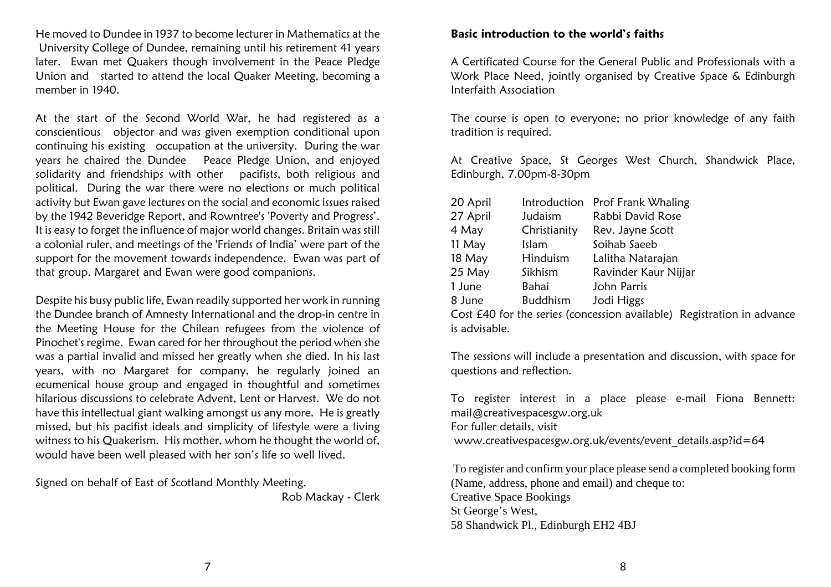He moved to Dundee in 1937 to become lecturer in Mathematics at the University College of Dundee, remaining until his retirement 41 years later. Ewan met Quakers though involvement in the Peace Pledge Union and started to attend the local Quaker Meeting, becoming amember in 1940.

At the start of the Second World War, he had registered as a conscientious objector and was given exemption conditional upon continuing his existing occupation at the university. During the war years he chaired the Dundee Peace Pledge Union, and enjoyed solidarity and friendships with other pacifists, both religious and political. During the war there were no elections or much politicalactivity but Ewan gave lectures on the social and economic issues raised by the 1942 Beveridge Report, and Rowntree's 'Poverty and Progress'.It is easy to forget the influence of major world changes. Britain was stilla colonial ruler, and meetings of the 'Friends of India' were part of the support for the movement towards independence. Ewan was part ofthat group. Margaret and Ewan were good companions.

Despite his busy public life, Ewan readily supported her work in running the Dundee branch of Amnesty International and the drop-in centre in the Meeting House for the Chilean refugees from the violence of Pinochet's regime. Ewan cared for her throughout the period when she was a partial invalid and missed her greatly when she died. In his last years, with no Margaret for company, he regularly joined an ecumenical house group and engaged in thoughtful and sometimes hilarious discussions to celebrate Advent, Lent or Harvest. We do not have this intellectual giant walking amongst us any more. He is greatly missed, but his pacifist ideals and simplicity of lifestyle were a living witness to his Quakerism. His mother, whom he thought the world of,would have been well pleased with her son's life so well lived.

Signed on behalf of East of Scotland Monthly Meeting,

Rob Mackay - Clerk

#### Basic introduction to the world's faiths

A Certificated Course for the General Public and Professionals with a Work Place Need, jointly organised by Creative Space & EdinburghInterfaith Association

The course is open to everyone; no prior knowledge of any faithtradition is required.

At Creative Space, St Georges West Church, Shandwick Place,Edinburgh, 7.00pm-8-30pm

| 20 April | Introduction    | Prof Frank Whaling   |
|----------|-----------------|----------------------|
| 27 April | Judaism         | Rabbi David Rose     |
| 4 May    | Christianity    | Rev. Jayne Scott     |
| 11 May   | Islam           | Soihab Saeeb         |
| 18 May   | Hinduism        | Lalitha Natarajan    |
| 25 May   | Sikhism         | Ravinder Kaur Nijjar |
| 1 June   | Bahai           | John Parris          |
| 8 June   | <b>Buddhism</b> | Jodi Higgs           |
|          |                 |                      |

Cost £40 for the series (concession available) Registration in advanceis advisable.

The sessions will include a presentation and discussion, with space forquestions and reflection.

To register interest in a place please e-mail Fiona Bennett:mail@creativespacesgw.org.uk For fuller details, visitwww.creativespacesgw.org.uk/events/event\_details.asp?id=64

 To register and confirm your place please send a completed booking form(Name, address, phone and email) and cheque to: Creative Space BookingsSt George's West,58 Shandwick Pl., Edinburgh EH2 4BJ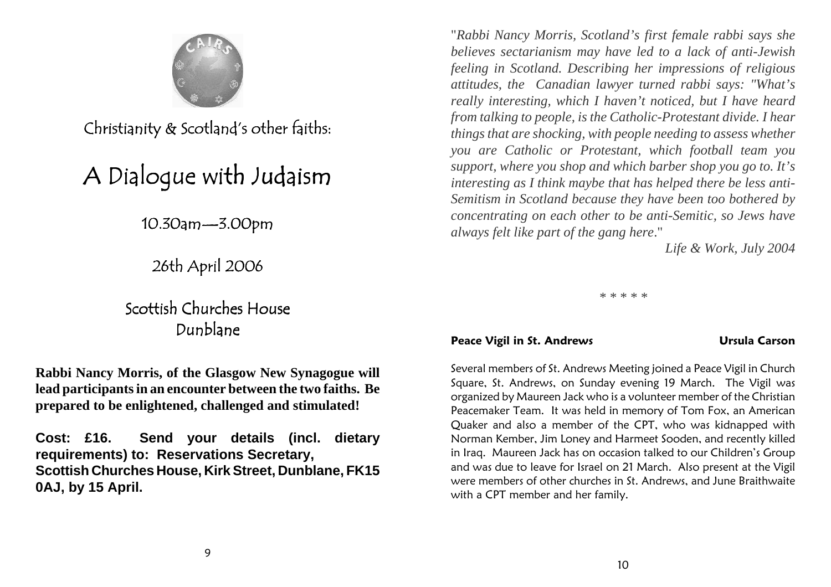

Christianity & Scotland's other faiths:

## A Dialogue with Judaism

10.30am—3.00pm

26th April 2006

## Scottish Churches HouseDunblane

**Rabbi Nancy Morris, of the Glasgow New Synagogue willlead participants in an encounter between the two faiths. Beprepared to be enlightened, challenged and stimulated!**

**Cost: £16. Send your details (incl. dietaryrequirements) to: Reservations Secretary, Scottish Churches House, Kirk Street, Dunblane, FK150AJ, by 15 April.**

"*Rabbi Nancy Morris, Scotland's first female rabbi says she believes sectarianism may have led to a lack of anti-Jewish feeling in Scotland. Describing her impressions of religious attitudes, the Canadian lawyer turned rabbi says: "What's really interesting, which I haven't noticed, but I have heard from talking to people, is the Catholic-Protestant divide. I hear things that are shocking, with people needing to assess whether you are Catholic or Protestant, which football team you support, where you shop and which barber shop you go to. It's interesting as I think maybe that has helped there be less anti-Semitism in Scotland because they have been too bothered by concentrating on each other to be anti-Semitic, so Jews havealways felt like part of the gang here*."

*Life & Work, July 2004*

*\* \* \* \* \**

#### Peace Vigil in St. Andrews The Carson Carson Carson

Several members of St. Andrews Meeting joined a Peace Vigil in Church Square, St. Andrews, on Sunday evening 19 March. The Vigil was organized by Maureen Jack who is a volunteer member of the Christian Peacemaker Team. It was held in memory of Tom Fox, an American Quaker and also a member of the CPT, who was kidnapped with Norman Kember, Jim Loney and Harmeet Sooden, and recently killed in Iraq. Maureen Jack has on occasion talked to our Children's Group and was due to leave for Israel on 21 March. Also present at the Vigil were members of other churches in St. Andrews, and June Braithwaitewith a CPT member and her family.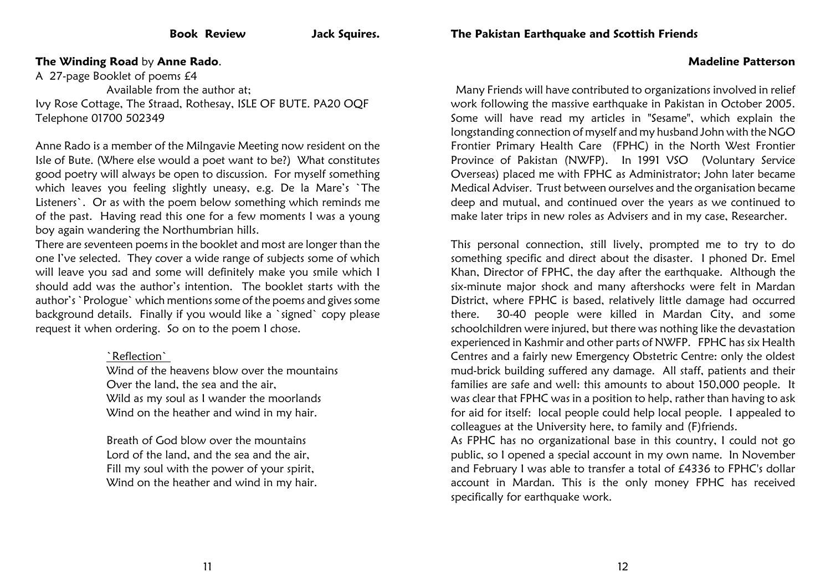### The Pakistan Earthquake and Scottish Friends

#### The Winding Road by Anne Rado.

A 27-page Booklet of poems £4 Available from the author at; Ivy Rose Cottage, The Straad, Rothesay, ISLE OF BUTE. PA20 OQFTelephone 01700 502349

Anne Rado is a member of the Milngavie Meeting now resident on the Isle of Bute. (Where else would a poet want to be?) What constitutes good poetry will always be open to discussion. For myself something which leaves you feeling slightly uneasy, e.g. De la Mare's `The Listeners`. Or as with the poem below something which reminds me of the past. Having read this one for a few moments I was a youngboy again wandering the Northumbrian hills.

There are seventeen poems in the booklet and most are longer than the one I've selected. They cover a wide range of subjects some of which will leave you sad and some will definitely make you smile which Ishould add was the author's intention. The booklet starts with the author's `Prologue` which mentions some of the poems and gives some background details. Finally if you would like a `signed` copy pleaserequest it when ordering. So on to the poem I chose.

#### `Reflection`

 Wind of the heavens blow over the mountainsOver the land, the sea and the air, Wild as my soul as I wander the moorlandsWind on the heather and wind in my hair.

Breath of God blow over the mountains Lord of the land, and the sea and the air,Fill my soul with the power of your spirit,Wind on the heather and wind in my hair.

 Many Friends will have contributed to organizations involved in relief work following the massive earthquake in Pakistan in October 2005. Some will have read my articles in "Sesame", which explain the longstanding connection of myself and my husband John with the NGO Frontier Primary Health Care (FPHC) in the North West Frontier Province of Pakistan (NWFP). In 1991 VSO (Voluntary Service Overseas) placed me with FPHC as Administrator; John later became Medical Adviser. Trust between ourselves and the organisation became deep and mutual, and continued over the years as we continued tomake later trips in new roles as Advisers and in my case, Researcher.

Madeline Patterson

This personal connection, still lively, prompted me to try to do something specific and direct about the disaster. I phoned Dr. EmelKhan, Director of FPHC, the day after the earthquake. Although the six-minute major shock and many aftershocks were felt in Mardan District, where FPHC is based, relatively little damage had occurred there. 30-40 people were killed in Mardan City, and some schoolchildren were injured, but there was nothing like the devastation experienced in Kashmir and other parts of NWFP. FPHC has six Health Centres and a fairly new Emergency Obstetric Centre: only the oldest mud-brick building suffered any damage. All staff, patients and their families are safe and well: this amounts to about 150,000 people. Itwas clear that FPHC was in a position to help, rather than having to ask for aid for itself: local people could help local people. I appealed tocolleagues at the University here, to family and (F)friends.

 As FPHC has no organizational base in this country, I could not go public, so I opened a special account in my own name. In November and February I was able to transfer a total of £4336 to FPHC's dollar account in Mardan. This is the only money FPHC has receivedspecifically for earthquake work.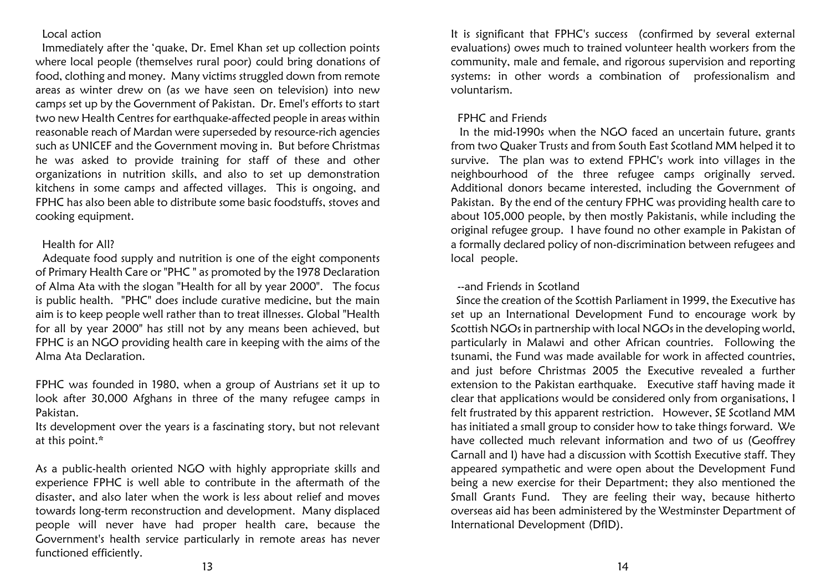#### Local action

 Immediately after the 'quake, Dr. Emel Khan set up collection points where local people (themselves rural poor) could bring donations of food, clothing and money. Many victims struggled down from remote areas as winter drew on (as we have seen on television) into new camps set up by the Government of Pakistan. Dr. Emel's efforts to start two new Health Centres for earthquake-affected people in areas within reasonable reach of Mardan were superseded by resource-rich agencies such as UNICEF and the Government moving in. But before Christmas he was asked to provide training for staff of these and other organizations in nutrition skills, and also to set up demonstration kitchens in some camps and affected villages. This is ongoing, and FPHC has also been able to distribute some basic foodstuffs, stoves andcooking equipment.

#### Health for All?

 Adequate food supply and nutrition is one of the eight components of Primary Health Care or "PHC " as promoted by the 1978 Declaration of Alma Ata with the slogan "Health for all by year 2000". The focus is public health. "PHC" does include curative medicine, but the main aim is to keep people well rather than to treat illnesses. Global "Health for all by year 2000" has still not by any means been achieved, butFPHC is an NGO providing health care in keeping with the aims of theAlma Ata Declaration.

FPHC was founded in 1980, when a group of Austrians set it up to look after 30,000 Afghans in three of the many refugee camps inPakistan.

 Its development over the years is a fascinating story, but not relevantat this point.\*

As a public-health oriented NGO with highly appropriate skills and experience FPHC is well able to contribute in the aftermath of the disaster, and also later when the work is less about relief and moves towards long-term reconstruction and development. Many displaced people will never have had proper health care, because the Government's health service particularly in remote areas has neverfunctioned efficiently.

It is significant that FPHC's success (confirmed by several externalevaluations) owes much to trained volunteer health workers from the community, male and female, and rigorous supervision and reporting systems: in other words a combination of professionalism andvoluntarism.

#### FPHC and Friends

 In the mid-1990s when the NGO faced an uncertain future, grants from two Quaker Trusts and from South East Scotland MM helped it to survive. The plan was to extend FPHC's work into villages in the neighbourhood of the three refugee camps originally served.Additional donors became interested, including the Government ofPakistan. By the end of the century FPHC was providing health care to about 105,000 people, by then mostly Pakistanis, while including the original refugee group. I have found no other example in Pakistan of a formally declared policy of non-discrimination between refugees andlocal people.

#### --and Friends in Scotland

 Since the creation of the Scottish Parliament in 1999, the Executive has set up an International Development Fund to encourage work by Scottish NGOs in partnership with local NGOs in the developing world, particularly in Malawi and other African countries. Following the tsunami, the Fund was made available for work in affected countries, and just before Christmas 2005 the Executive revealed a further extension to the Pakistan earthquake. Executive staff having made it clear that applications would be considered only from organisations, I felt frustrated by this apparent restriction. However, SE Scotland MM has initiated a small group to consider how to take things forward. We have collected much relevant information and two of us (Geoffrey Carnall and I) have had a discussion with Scottish Executive staff. They appeared sympathetic and were open about the Development Fund being a new exercise for their Department; they also mentioned the Small Grants Fund. They are feeling their way, because hitherto overseas aid has been administered by the Westminster Department ofInternational Development (DfID).

13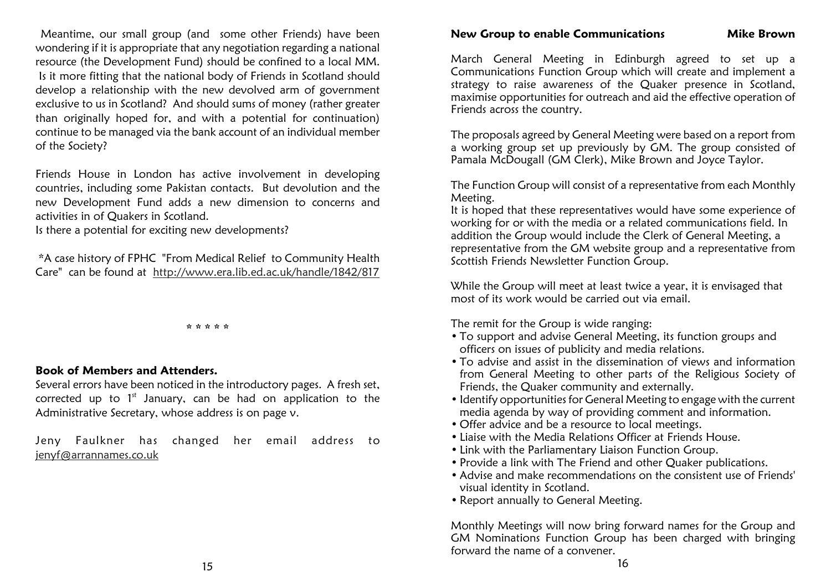Meantime, our small group (and some other Friends) have been wondering if it is appropriate that any negotiation regarding a national resource (the Development Fund) should be confined to a local MM. Is it more fitting that the national body of Friends in Scotland should develop a relationship with the new devolved arm of government exclusive to us in Scotland? And should sums of money (rather greater than originally hoped for, and with a potential for continuation) continue to be managed via the bank account of an individual memberof the Society?

Friends House in London has active involvement in developing countries, including some Pakistan contacts. But devolution and the new Development Fund adds a new dimension to concerns andactivities in of Quakers in Scotland.

Is there a potential for exciting new developments?

 \*A case history of FPHC "From Medical Relief to Community HealthCare" can be found at <u>http://www.era.lib.ed.ac.uk/handle/1842/817</u>

\* \* \* \* \*

#### Book of Members and Attenders.

 Several errors have been noticed in the introductory pages. A fresh set,corrected up to  $1^\text{st}$  January, can be had on application to the Administrative Secretary, whose address is on page v.

Jeny Faulkner has changed her email address tojenyf@arrannames.co.uk

#### New Group to enable Communications Mike Brown

March General Meeting in Edinburgh agreed to set up a Communications Function Group which will create and implement a strategy to raise awareness of the Quaker presence in Scotland, maximise opportunities for outreach and aid the effective operation ofFriends across the country.

The proposals agreed by General Meeting were based on a report from a working group set up previously by GM. The group consisted ofPamala McDougall (GM Clerk), Mike Brown and Joyce Taylor.

The Function Group will consist of a representative from each MonthlyMeeting.

 It is hoped that these representatives would have some experience ofworking for or with the media or a related communications field. In addition the Group would include the Clerk of General Meeting, a representative from the GM website group and a representative fromScottish Friends Newsletter Function Group.

While the Group will meet at least twice a year, it is envisaged that most of its work would be carried out via email.

The remit for the Group is wide ranging:

- To support and advise General Meeting, its function groups and officers on issues of publicity and media relations.
- To advise and assist in the dissemination of views and information from General Meeting to other parts of the Religious Society ofFriends, the Quaker community and externally.
- Identify opportunities for General Meeting to engage with the current media agenda by way of providing comment and information.
- Offer advice and be a resource to local meetings.
- Liaise with the Media Relations Officer at Friends House.
- Link with the Parliamentary Liaison Function Group.
- Provide a link with The Friend and other Quaker publications.
- Advise and make recommendations on the consistent use of Friends' visual identity in Scotland.
- Report annually to General Meeting.

Monthly Meetings will now bring forward names for the Group and GM Nominations Function Group has been charged with bringingforward the name of a convener.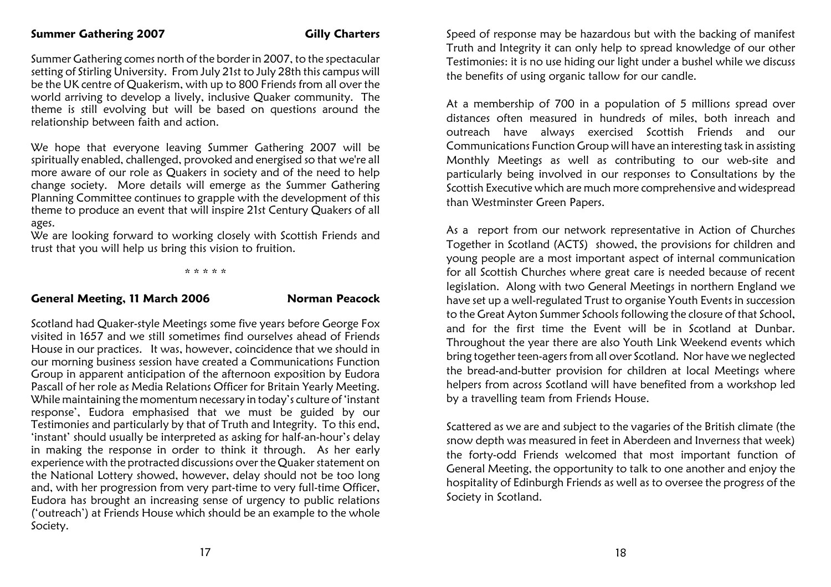Summer Gathering comes north of the border in 2007, to the spectacular setting of Stirling University. From July 21st to July 28th this campus will be the UK centre of Quakerism, with up to 800 Friends from all over the world arriving to develop a lively, inclusive Quaker community. The theme is still evolving but will be based on questions around therelationship between faith and action.

We hope that everyone leaving Summer Gathering 2007 will be spiritually enabled, challenged, provoked and energised so that we're all more aware of our role as Quakers in society and of the need to help change society. More details will emerge as the Summer Gathering Planning Committee continues to grapple with the development of this theme to produce an event that will inspire 21st Century Quakers of allages.

 We are looking forward to working closely with Scottish Friends andtrust that you will help us bring this vision to fruition.

\* \* \* \* \*

#### General Meeting, 11 March 2006 Norman Peacock

Scotland had Quaker-style Meetings some five years before George Fox visited in 1657 and we still sometimes find ourselves ahead of Friends House in our practices. It was, however, coincidence that we should in our morning business session have created a Communications Function Group in apparent anticipation of the afternoon exposition by Eudora Pascall of her role as Media Relations Officer for Britain Yearly Meeting. While maintaining the momentum necessary in today's culture of 'instant response', Eudora emphasised that we must be guided by our Testimonies and particularly by that of Truth and Integrity. To this end, 'instant' should usually be interpreted as asking for half-an-hour's delay in making the response in order to think it through. As her earlyexperience with the protracted discussions over the Quaker statement on the National Lottery showed, however, delay should not be too long and, with her progression from very part-time to very full-time Officer, Eudora has brought an increasing sense of urgency to public relations ('outreach') at Friends House which should be an example to the wholeSociety.

Speed of response may be hazardous but with the backing of manifest Truth and Integrity it can only help to spread knowledge of our other Testimonies: it is no use hiding our light under a bushel while we discussthe benefits of using organic tallow for our candle.

At a membership of 700 in a population of 5 millions spread over distances often measured in hundreds of miles, both inreach and outreach have always exercised Scottish Friends and our Communications Function Group will have an interesting task in assisting Monthly Meetings as well as contributing to our web-site and particularly being involved in our responses to Consultations by the Scottish Executive which are much more comprehensive and widespreadthan Westminster Green Papers.

As a report from our network representative in Action of Churches Together in Scotland (ACTS) showed, the provisions for children and young people are a most important aspect of internal communication for all Scottish Churches where great care is needed because of recentlegislation. Along with two General Meetings in northern England we have set up a well-regulated Trust to organise Youth Events in succession to the Great Ayton Summer Schools following the closure of that School,and for the first time the Event will be in Scotland at Dunbar.Throughout the year there are also Youth Link Weekend events which bring together teen-agers from all over Scotland. Nor have we neglected the bread-and-butter provision for children at local Meetings where helpers from across Scotland will have benefited from a workshop ledby a travelling team from Friends House.

Scattered as we are and subject to the vagaries of the British climate (the snow depth was measured in feet in Aberdeen and Inverness that week) the forty-odd Friends welcomed that most important function of General Meeting, the opportunity to talk to one another and enjoy the hospitality of Edinburgh Friends as well as to oversee the progress of theSociety in Scotland.